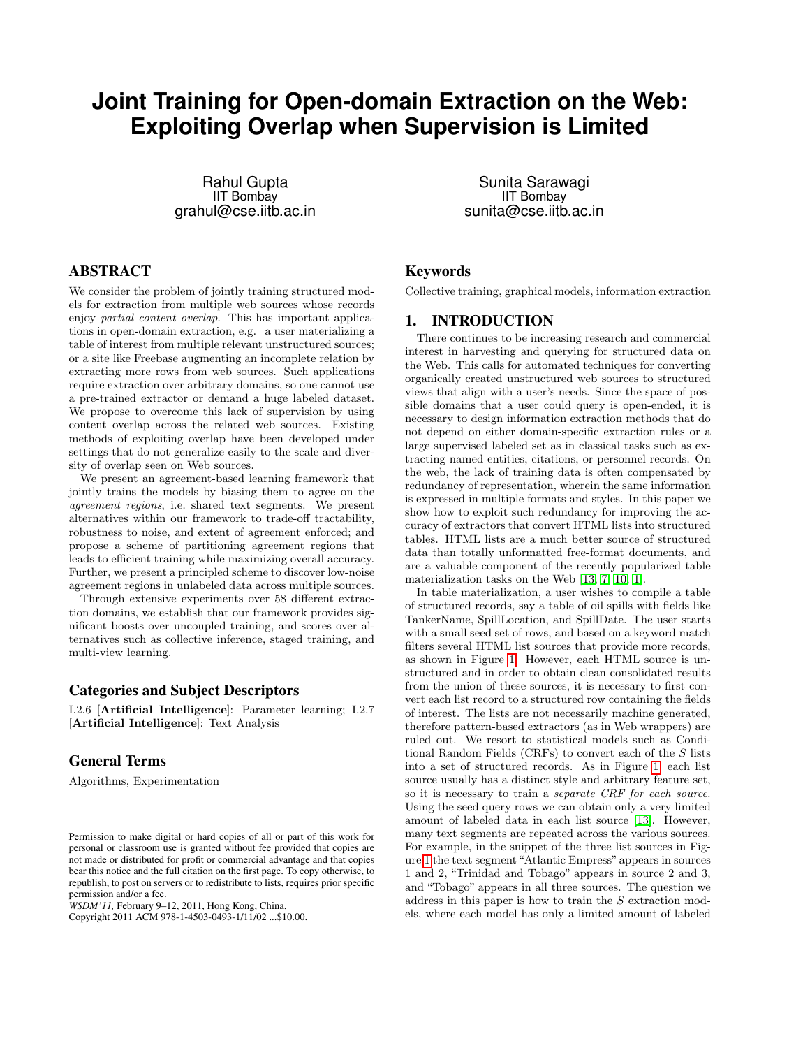# **Joint Training for Open-domain Extraction on the Web: Exploiting Overlap when Supervision is Limited**

Rahul Gupta IIT Bombay grahul@cse.iitb.ac.in

# ABSTRACT

We consider the problem of jointly training structured models for extraction from multiple web sources whose records enjoy partial content overlap. This has important applications in open-domain extraction, e.g. a user materializing a table of interest from multiple relevant unstructured sources; or a site like Freebase augmenting an incomplete relation by extracting more rows from web sources. Such applications require extraction over arbitrary domains, so one cannot use a pre-trained extractor or demand a huge labeled dataset. We propose to overcome this lack of supervision by using content overlap across the related web sources. Existing methods of exploiting overlap have been developed under settings that do not generalize easily to the scale and diversity of overlap seen on Web sources.

We present an agreement-based learning framework that jointly trains the models by biasing them to agree on the agreement regions, i.e. shared text segments. We present alternatives within our framework to trade-off tractability, robustness to noise, and extent of agreement enforced; and propose a scheme of partitioning agreement regions that leads to efficient training while maximizing overall accuracy. Further, we present a principled scheme to discover low-noise agreement regions in unlabeled data across multiple sources.

Through extensive experiments over 58 different extraction domains, we establish that our framework provides significant boosts over uncoupled training, and scores over alternatives such as collective inference, staged training, and multi-view learning.

#### Categories and Subject Descriptors

I.2.6 [Artificial Intelligence]: Parameter learning; I.2.7 [Artificial Intelligence]: Text Analysis

# General Terms

Algorithms, Experimentation

*WSDM'11,* February 9–12, 2011, Hong Kong, China.

Copyright 2011 ACM 978-1-4503-0493-1/11/02 ...\$10.00.

Sunita Sarawagi IIT Bombay sunita@cse.iitb.ac.in

# Keywords

Collective training, graphical models, information extraction

## 1. INTRODUCTION

There continues to be increasing research and commercial interest in harvesting and querying for structured data on the Web. This calls for automated techniques for converting organically created unstructured web sources to structured views that align with a user's needs. Since the space of possible domains that a user could query is open-ended, it is necessary to design information extraction methods that do not depend on either domain-specific extraction rules or a large supervised labeled set as in classical tasks such as extracting named entities, citations, or personnel records. On the web, the lack of training data is often compensated by redundancy of representation, wherein the same information is expressed in multiple formats and styles. In this paper we show how to exploit such redundancy for improving the accuracy of extractors that convert HTML lists into structured tables. HTML lists are a much better source of structured data than totally unformatted free-format documents, and are a valuable component of the recently popularized table materialization tasks on the Web [\[13,](#page-9-0) [7,](#page-9-1) [10,](#page-9-2) [1\]](#page-9-3).

In table materialization, a user wishes to compile a table of structured records, say a table of oil spills with fields like TankerName, SpillLocation, and SpillDate. The user starts with a small seed set of rows, and based on a keyword match filters several HTML list sources that provide more records, as shown in Figure [1.](#page-1-0) However, each HTML source is unstructured and in order to obtain clean consolidated results from the union of these sources, it is necessary to first convert each list record to a structured row containing the fields of interest. The lists are not necessarily machine generated, therefore pattern-based extractors (as in Web wrappers) are ruled out. We resort to statistical models such as Conditional Random Fields (CRFs) to convert each of the S lists into a set of structured records. As in Figure [1,](#page-1-0) each list source usually has a distinct style and arbitrary feature set, so it is necessary to train a separate CRF for each source. Using the seed query rows we can obtain only a very limited amount of labeled data in each list source [\[13\]](#page-9-0). However, many text segments are repeated across the various sources. For example, in the snippet of the three list sources in Figure [1](#page-1-0) the text segment "Atlantic Empress" appears in sources 1 and 2, "Trinidad and Tobago" appears in source 2 and 3, and "Tobago" appears in all three sources. The question we address in this paper is how to train the S extraction models, where each model has only a limited amount of labeled

Permission to make digital or hard copies of all or part of this work for personal or classroom use is granted without fee provided that copies are not made or distributed for profit or commercial advantage and that copies bear this notice and the full citation on the first page. To copy otherwise, to republish, to post on servers or to redistribute to lists, requires prior specific permission and/or a fee.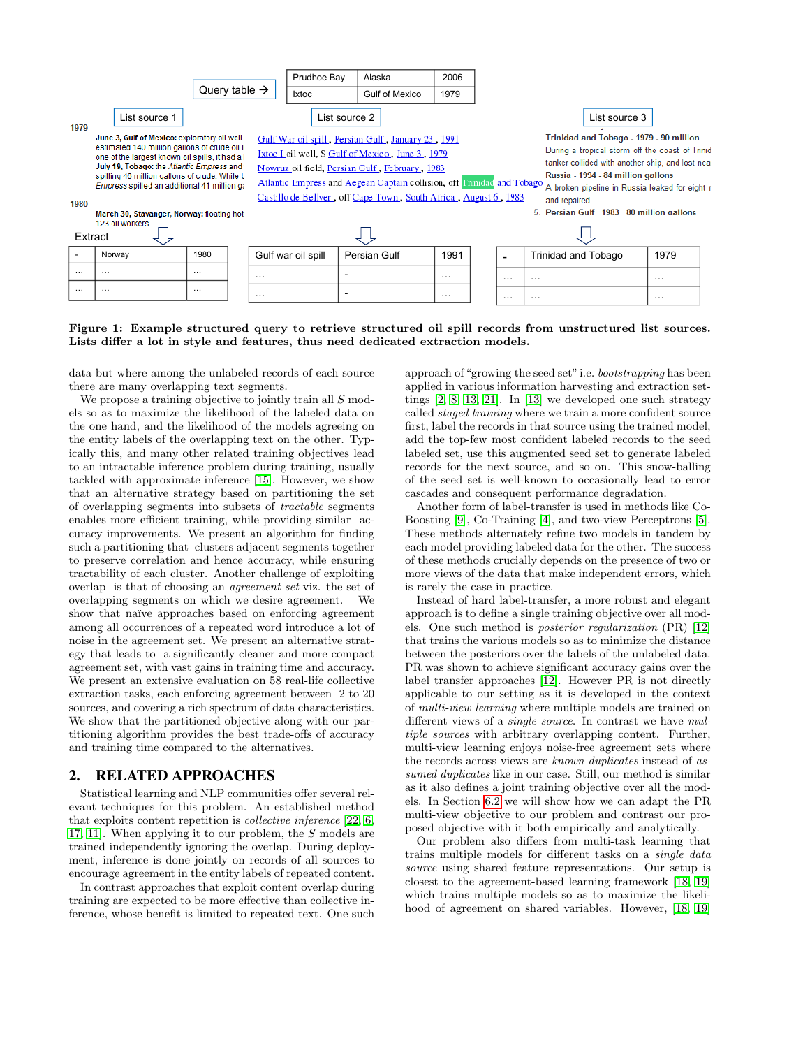|          |                                                                                                                                                                                                                                                                                                                                         |                           | Prudhoe Bay  | Alaska                                                                                                                                                                                                                                                                                                 | 2006                     |          |  |               |                                                                                                                                                                                                                                                                                                        |          |  |  |  |
|----------|-----------------------------------------------------------------------------------------------------------------------------------------------------------------------------------------------------------------------------------------------------------------------------------------------------------------------------------------|---------------------------|--------------|--------------------------------------------------------------------------------------------------------------------------------------------------------------------------------------------------------------------------------------------------------------------------------------------------------|--------------------------|----------|--|---------------|--------------------------------------------------------------------------------------------------------------------------------------------------------------------------------------------------------------------------------------------------------------------------------------------------------|----------|--|--|--|
|          |                                                                                                                                                                                                                                                                                                                                         | Query table $\rightarrow$ | <b>Ixtoc</b> | <b>Gulf of Mexico</b>                                                                                                                                                                                                                                                                                  | 1979                     |          |  |               |                                                                                                                                                                                                                                                                                                        |          |  |  |  |
| 1979     | List source 1                                                                                                                                                                                                                                                                                                                           |                           |              | List source 2                                                                                                                                                                                                                                                                                          |                          |          |  | List source 3 |                                                                                                                                                                                                                                                                                                        |          |  |  |  |
| 1980     | June 3, Gulf of Mexico: exploratory oil well<br>estimated 140 million gallons of crude oil i<br>one of the largest known oil spills, it had a<br>July 19, Tobago: the Atlantic Empress and<br>spilling 46 million gallons of crude. While b<br>Empress spilled an additional 41 million qa<br>March 30, Stavanger, Norway: floating hot |                           |              | Gulf War oil spill, Persian Gulf, January 23, 1991<br>Ixtoc I oil well, S Gulf of Mexico, June 3, 1979<br>Nowruz oil field, Persian Gulf, February, 1983<br>Atlantic Empress and Aegean Captain collision, off Frinidad and Tobago<br>Castillo de Bellver, off Cape Town, South Africa, August 6, 1983 |                          |          |  |               | Trinidad and Tobago - 1979 - 90 million<br>During a tropical storm off the coast of Trinid<br>tanker collided with another ship, and lost near<br>Russia - 1994 - 84 million gallons<br>A broken pipeline in Russia leaked for eight r<br>and repaired.<br>5. Persian Gulf - 1983 - 80 million gallons |          |  |  |  |
| Extract  | 123 oil workers.                                                                                                                                                                                                                                                                                                                        |                           |              |                                                                                                                                                                                                                                                                                                        |                          |          |  |               |                                                                                                                                                                                                                                                                                                        |          |  |  |  |
|          | Norway                                                                                                                                                                                                                                                                                                                                  | 1980                      |              | Gulf war oil spill                                                                                                                                                                                                                                                                                     | Persian Gulf             | 1991     |  |               | <b>Trinidad and Tobago</b>                                                                                                                                                                                                                                                                             | 1979     |  |  |  |
| $\cdots$ | $\cdots$                                                                                                                                                                                                                                                                                                                                | $\cdots$                  | $\cdots$     |                                                                                                                                                                                                                                                                                                        |                          | $\cdots$ |  | $\cdots$      | $\ddotsc$                                                                                                                                                                                                                                                                                              | $\cdots$ |  |  |  |
| $\cdots$ | $\cdots$                                                                                                                                                                                                                                                                                                                                | $\cdots$<br>$\cdots$      |              |                                                                                                                                                                                                                                                                                                        | $\overline{\phantom{0}}$ | $\cdots$ |  | $\cdots$      | $\cdots$                                                                                                                                                                                                                                                                                               | $\cdots$ |  |  |  |

<span id="page-1-0"></span>Figure 1: Example structured query to retrieve structured oil spill records from unstructured list sources. Lists differ a lot in style and features, thus need dedicated extraction models.

data but where among the unlabeled records of each source there are many overlapping text segments.

We propose a training objective to jointly train all S models so as to maximize the likelihood of the labeled data on the one hand, and the likelihood of the models agreeing on the entity labels of the overlapping text on the other. Typically this, and many other related training objectives lead to an intractable inference problem during training, usually tackled with approximate inference [\[15\]](#page-9-4). However, we show that an alternative strategy based on partitioning the set of overlapping segments into subsets of tractable segments enables more efficient training, while providing similar accuracy improvements. We present an algorithm for finding such a partitioning that clusters adjacent segments together to preserve correlation and hence accuracy, while ensuring tractability of each cluster. Another challenge of exploiting overlap is that of choosing an agreement set viz. the set of overlapping segments on which we desire agreement. We show that naïve approaches based on enforcing agreement among all occurrences of a repeated word introduce a lot of noise in the agreement set. We present an alternative strategy that leads to a significantly cleaner and more compact agreement set, with vast gains in training time and accuracy. We present an extensive evaluation on 58 real-life collective extraction tasks, each enforcing agreement between 2 to 20 sources, and covering a rich spectrum of data characteristics. We show that the partitioned objective along with our partitioning algorithm provides the best trade-offs of accuracy and training time compared to the alternatives.

# <span id="page-1-1"></span>2. RELATED APPROACHES

Statistical learning and NLP communities offer several relevant techniques for this problem. An established method that exploits content repetition is collective inference [\[22,](#page-9-5) [6,](#page-9-6) [17,](#page-9-7) [11\]](#page-9-8). When applying it to our problem, the S models are trained independently ignoring the overlap. During deployment, inference is done jointly on records of all sources to encourage agreement in the entity labels of repeated content.

In contrast approaches that exploit content overlap during training are expected to be more effective than collective inference, whose benefit is limited to repeated text. One such approach of "growing the seed set"i.e. bootstrapping has been applied in various information harvesting and extraction settings [\[2,](#page-9-9) [8,](#page-9-10) [13,](#page-9-0) [21\]](#page-9-11). In [\[13\]](#page-9-0) we developed one such strategy called staged training where we train a more confident source first, label the records in that source using the trained model, add the top-few most confident labeled records to the seed labeled set, use this augmented seed set to generate labeled records for the next source, and so on. This snow-balling of the seed set is well-known to occasionally lead to error cascades and consequent performance degradation.

Another form of label-transfer is used in methods like Co-Boosting [\[9\]](#page-9-12), Co-Training [\[4\]](#page-9-13), and two-view Perceptrons [\[5\]](#page-9-14). These methods alternately refine two models in tandem by each model providing labeled data for the other. The success of these methods crucially depends on the presence of two or more views of the data that make independent errors, which is rarely the case in practice.

Instead of hard label-transfer, a more robust and elegant approach is to define a single training objective over all models. One such method is posterior regularization (PR) [\[12\]](#page-9-15) that trains the various models so as to minimize the distance between the posteriors over the labels of the unlabeled data. PR was shown to achieve significant accuracy gains over the label transfer approaches [\[12\]](#page-9-15). However PR is not directly applicable to our setting as it is developed in the context of multi-view learning where multiple models are trained on different views of a *single source*. In contrast we have multiple sources with arbitrary overlapping content. Further, multi-view learning enjoys noise-free agreement sets where the records across views are known duplicates instead of assumed duplicates like in our case. Still, our method is similar as it also defines a joint training objective over all the models. In Section [6.2](#page-7-0) we will show how we can adapt the PR multi-view objective to our problem and contrast our proposed objective with it both empirically and analytically.

Our problem also differs from multi-task learning that trains multiple models for different tasks on a single data source using shared feature representations. Our setup is closest to the agreement-based learning framework [\[18,](#page-9-16) [19\]](#page-9-17) which trains multiple models so as to maximize the likelihood of agreement on shared variables. However, [\[18,](#page-9-16) [19\]](#page-9-17)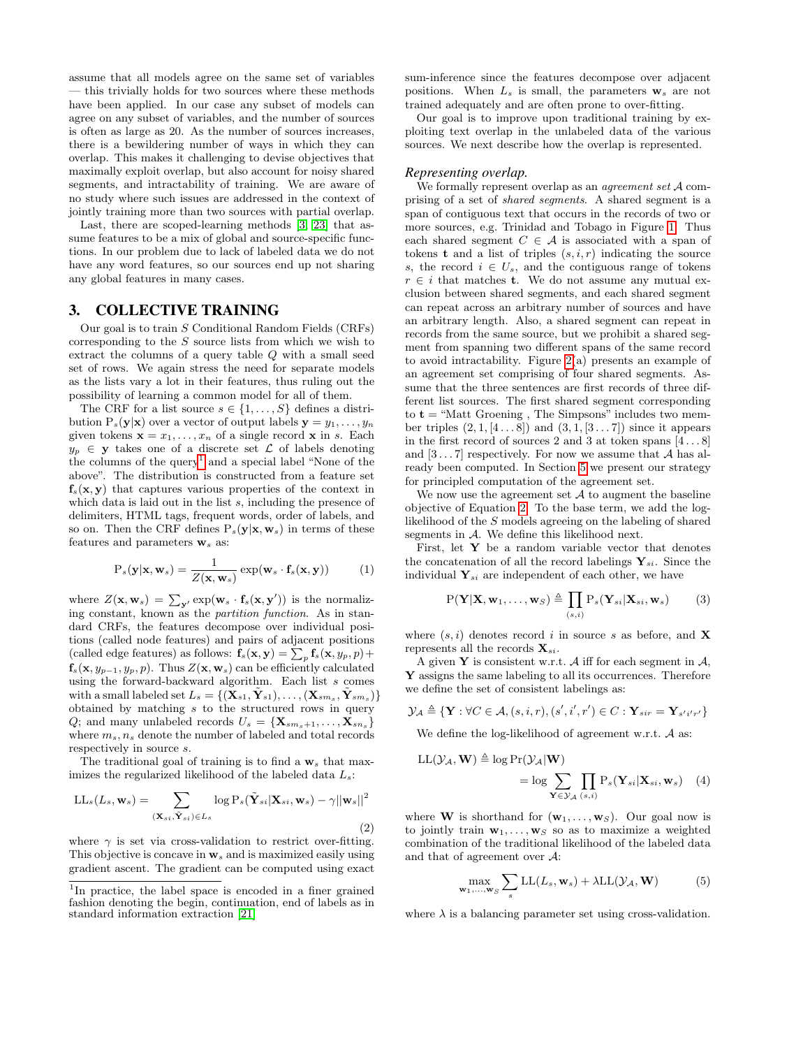assume that all models agree on the same set of variables — this trivially holds for two sources where these methods have been applied. In our case any subset of models can agree on any subset of variables, and the number of sources is often as large as 20. As the number of sources increases, there is a bewildering number of ways in which they can overlap. This makes it challenging to devise objectives that maximally exploit overlap, but also account for noisy shared segments, and intractability of training. We are aware of no study where such issues are addressed in the context of jointly training more than two sources with partial overlap.

Last, there are scoped-learning methods [\[3,](#page-9-18) [23\]](#page-9-19) that assume features to be a mix of global and source-specific functions. In our problem due to lack of labeled data we do not have any word features, so our sources end up not sharing any global features in many cases.

### 3. COLLECTIVE TRAINING

Our goal is to train S Conditional Random Fields (CRFs) corresponding to the  $S$  source lists from which we wish to extract the columns of a query table Q with a small seed set of rows. We again stress the need for separate models as the lists vary a lot in their features, thus ruling out the possibility of learning a common model for all of them.

The CRF for a list source  $s \in \{1, \ldots, S\}$  defines a distribution  $P_s(\mathbf{y}|\mathbf{x})$  over a vector of output labels  $\mathbf{y} = y_1, \ldots, y_n$ given tokens  $\mathbf{x} = x_1, \dots, x_n$  of a single record  $\mathbf{x}$  in s. Each  $y_p \in \mathbf{y}$  takes one of a discrete set  $\mathcal L$  of labels denoting the columns of the  $query<sup>1</sup>$  $query<sup>1</sup>$  $query<sup>1</sup>$  and a special label "None of the above". The distribution is constructed from a feature set  $f_s(x, y)$  that captures various properties of the context in which data is laid out in the list  $s$ , including the presence of delimiters, HTML tags, frequent words, order of labels, and so on. Then the CRF defines  $P_s(y|x, w_s)$  in terms of these features and parameters  $\mathbf{w}_s$  as:

<span id="page-2-3"></span>
$$
P_s(\mathbf{y}|\mathbf{x}, \mathbf{w}_s) = \frac{1}{Z(\mathbf{x}, \mathbf{w}_s)} \exp(\mathbf{w}_s \cdot \mathbf{f}_s(\mathbf{x}, \mathbf{y}))
$$
(1)

where  $Z(\mathbf{x}, \mathbf{w}_s) = \sum_{\mathbf{y}'} \exp(\mathbf{w}_s \cdot \mathbf{f}_s(\mathbf{x}, \mathbf{y}'))$  is the normalizing constant, known as the partition function. As in standard CRFs, the features decompose over individual positions (called node features) and pairs of adjacent positions (called edge features) as follows:  $\mathbf{f}_s(\mathbf{x}, \mathbf{y}) = \sum_p \mathbf{f}_s(\mathbf{x}, y_p, p) +$  $f_s(\mathbf{x}, y_{p-1}, y_p, p)$ . Thus  $Z(\mathbf{x}, \mathbf{w}_s)$  can be efficiently calculated using the forward-backward algorithm. Each list s comes with a small labeled set  $L_s = \{(\tilde{\textbf{X}}_{s1}, \tilde{\textbf{Y}}_{s1}), \dots, (\textbf{X}_{sm_s}, \tilde{\textbf{Y}}_{sm_s})\}$ obtained by matching s to the structured rows in query Q; and many unlabeled records  $U_s = {\mathbf{X}_{sm_s+1}, \ldots, \mathbf{X}_{sn_s}}$ where  $m_s$ ,  $n_s$  denote the number of labeled and total records respectively in source s.

The traditional goal of training is to find a  $w_s$  that maximizes the regularized likelihood of the labeled data  $L_s$ :

<span id="page-2-1"></span>
$$
\text{LL}_s(L_s, \mathbf{w}_s) = \sum_{(\mathbf{X}_{si}, \tilde{\mathbf{Y}}_{si}) \in L_s} \log \text{P}_s(\tilde{\mathbf{Y}}_{si} | \mathbf{X}_{si}, \mathbf{w}_s) - \gamma ||\mathbf{w}_s||^2
$$
\n(2)

where  $\gamma$  is set via cross-validation to restrict over-fitting. This objective is concave in  $w_s$  and is maximized easily using gradient ascent. The gradient can be computed using exact sum-inference since the features decompose over adjacent positions. When  $L_s$  is small, the parameters  $\mathbf{w}_s$  are not trained adequately and are often prone to over-fitting.

Our goal is to improve upon traditional training by exploiting text overlap in the unlabeled data of the various sources. We next describe how the overlap is represented.

#### *Representing overlap.*

We formally represent overlap as an *agreement set*  $A$  comprising of a set of shared segments. A shared segment is a span of contiguous text that occurs in the records of two or more sources, e.g. Trinidad and Tobago in Figure [1.](#page-1-0) Thus each shared segment  $C \in \mathcal{A}$  is associated with a span of tokens **t** and a list of triples  $(s, i, r)$  indicating the source s, the record  $i \in U_s$ , and the contiguous range of tokens  $r \in i$  that matches **t**. We do not assume any mutual exclusion between shared segments, and each shared segment can repeat across an arbitrary number of sources and have an arbitrary length. Also, a shared segment can repeat in records from the same source, but we prohibit a shared segment from spanning two different spans of the same record to avoid intractability. Figure [2\(](#page-3-0)a) presents an example of an agreement set comprising of four shared segments. Assume that the three sentences are first records of three different list sources. The first shared segment corresponding to  $t =$  "Matt Groening, The Simpsons" includes two member triples  $(2, 1, [4...8])$  and  $(3, 1, [3...7])$  since it appears in the first record of sources 2 and 3 at token spans  $[4 \dots 8]$ and  $[3 \dots 7]$  respectively. For now we assume that A has already been computed. In Section [5](#page-5-0) we present our strategy for principled computation of the agreement set.

We now use the agreement set  $A$  to augment the baseline objective of Equation [2.](#page-2-1) To the base term, we add the loglikelihood of the S models agreeing on the labeling of shared segments in A. We define this likelihood next.

First, let  $Y$  be a random variable vector that denotes the concatenation of all the record labelings  $\mathbf{Y}_{si}$ . Since the individual  $Y_{si}$  are independent of each other, we have

$$
P(\mathbf{Y}|\mathbf{X}, \mathbf{w}_1, \dots, \mathbf{w}_S) \triangleq \prod_{(s,i)} P_s(\mathbf{Y}_{si}|\mathbf{X}_{si}, \mathbf{w}_s)
$$
(3)

where  $(s, i)$  denotes record i in source s as before, and **X** represents all the records  $\mathbf{X}_{si}$ .

A given Y is consistent w.r.t. A iff for each segment in  $A$ , Y assigns the same labeling to all its occurrences. Therefore we define the set of consistent labelings as:

$$
\mathcal{Y}_\mathcal{A} \triangleq \{\mathbf{Y}: \forall C \in \mathcal{A}, (s, i, r), (s', i', r') \in C: \mathbf{Y}_{sir} = \mathbf{Y}_{s'i'r'}\}
$$

We define the log-likelihood of agreement w.r.t. A as:

$$
LL(\mathcal{Y}_A, \mathbf{W}) \triangleq \log \Pr(\mathcal{Y}_A | \mathbf{W})
$$
  
=  $\log \sum_{\mathbf{Y} \in \mathcal{Y}_A} \prod_{(s,i)} P_s(\mathbf{Y}_{si} | \mathbf{X}_{si}, \mathbf{w}_s)$  (4)

where **W** is shorthand for  $(\mathbf{w}_1, \dots, \mathbf{w}_S)$ . Our goal now is to jointly train  $\mathbf{w}_1, \ldots, \mathbf{w}_S$  so as to maximize a weighted combination of the traditional likelihood of the labeled data and that of agreement over A:

<span id="page-2-4"></span><span id="page-2-2"></span>
$$
\max_{\mathbf{w}_1,\dots,\mathbf{w}_S} \sum_{s} \text{LL}(L_s, \mathbf{w}_s) + \lambda \text{LL}(\mathcal{Y}_A, \mathbf{W})
$$
(5)

where  $\lambda$  is a balancing parameter set using cross-validation.

<span id="page-2-0"></span><sup>&</sup>lt;sup>1</sup>In practice, the label space is encoded in a finer grained fashion denoting the begin, continuation, end of labels as in standard information extraction [\[21\]](#page-9-11)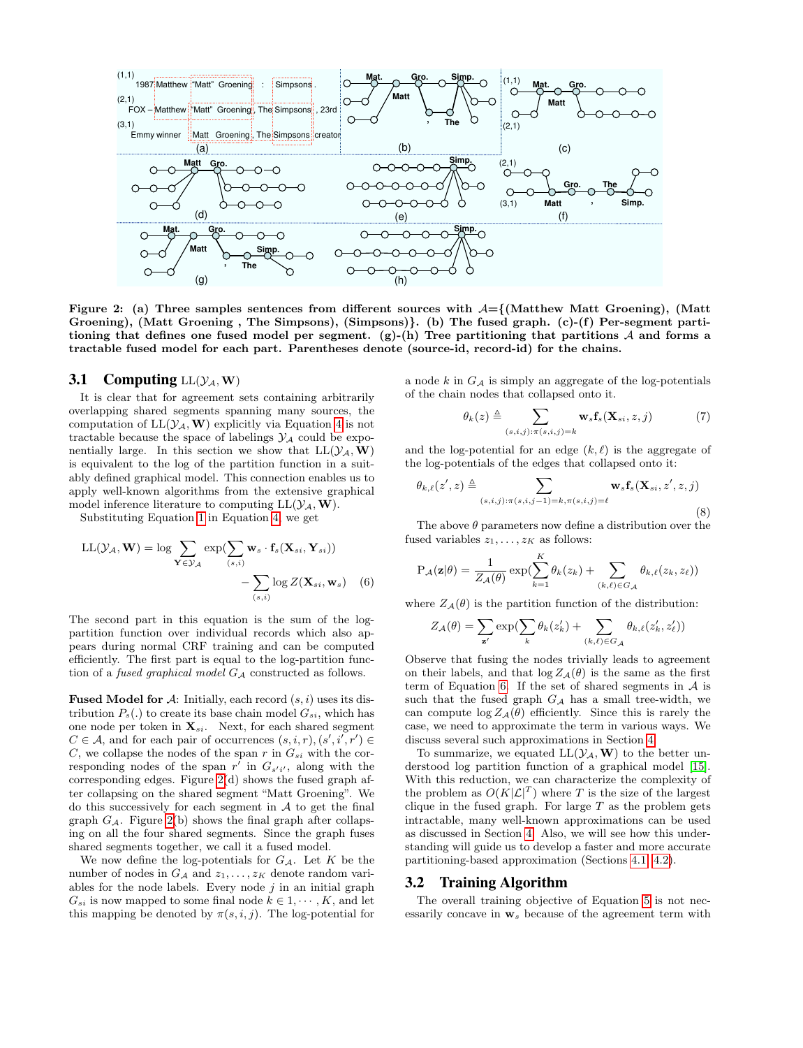

<span id="page-3-0"></span>Figure 2: (a) Three samples sentences from different sources with  $A = \{$ (Matthew Matt Groening), (Matt Groening), (Matt Groening , The Simpsons), (Simpsons)}. (b) The fused graph. (c)-(f) Per-segment partitioning that defines one fused model per segment. (g)-(h) Tree partitioning that partitions  $A$  and forms a tractable fused model for each part. Parentheses denote (source-id, record-id) for the chains.

#### 3.1 Computing  $LL(\mathcal{Y}_A, W)$

It is clear that for agreement sets containing arbitrarily overlapping shared segments spanning many sources, the computation of  $LL(\mathcal{Y}_A, \mathbf{W})$  explicitly via Equation [4](#page-2-2) is not tractable because the space of labelings  $\mathcal{Y}_A$  could be exponentially large. In this section we show that  $LL(\mathcal{Y}_A, \mathbf{W})$ is equivalent to the log of the partition function in a suitably defined graphical model. This connection enables us to apply well-known algorithms from the extensive graphical model inference literature to computing  $LL(\mathcal{Y}_A, \mathbf{W}).$ 

Substituting Equation [1](#page-2-3) in Equation [4,](#page-2-2) we get

$$
LL(\mathcal{Y}_A, \mathbf{W}) = \log \sum_{\mathbf{Y} \in \mathcal{Y}_A} \exp(\sum_{(s,i)} \mathbf{w}_s \cdot \mathbf{f}_s(\mathbf{X}_{si}, \mathbf{Y}_{si})) - \sum_{(s,i)} \log Z(\mathbf{X}_{si}, \mathbf{w}_s) \quad (6)
$$

The second part in this equation is the sum of the logpartition function over individual records which also appears during normal CRF training and can be computed efficiently. The first part is equal to the log-partition function of a *fused graphical model*  $G_A$  constructed as follows.

**Fused Model for A:** Initially, each record  $(s, i)$  uses its distribution  $P_s(.)$  to create its base chain model  $G_{si}$ , which has one node per token in  $\mathbf{X}_{si}$ . Next, for each shared segment  $C \in \mathcal{A}$ , and for each pair of occurrences  $(s, i, r), (s', i', r') \in$ C, we collapse the nodes of the span r in  $G_{si}$  with the corresponding nodes of the span  $r'$  in  $G_{s'i'}$ , along with the corresponding edges. Figure [2\(](#page-3-0)d) shows the fused graph after collapsing on the shared segment "Matt Groening". We do this successively for each segment in  $A$  to get the final graph  $G_A$ . Figure [2\(](#page-3-0)b) shows the final graph after collapsing on all the four shared segments. Since the graph fuses shared segments together, we call it a fused model.

We now define the log-potentials for  $G_{\mathcal{A}}$ . Let K be the number of nodes in  $G_A$  and  $z_1, \ldots, z_K$  denote random variables for the node labels. Every node  $j$  in an initial graph  $G_{si}$  is now mapped to some final node  $k \in 1, \dots, K$ , and let this mapping be denoted by  $\pi(s, i, j)$ . The log-potential for a node  $k$  in  $G_A$  is simply an aggregate of the log-potentials of the chain nodes that collapsed onto it.

$$
\theta_k(z) \triangleq \sum_{(s,i,j):\pi(s,i,j)=k} \mathbf{w}_s \mathbf{f}_s(\mathbf{X}_{si}, z, j) \tag{7}
$$

and the log-potential for an edge  $(k, \ell)$  is the aggregate of the log-potentials of the edges that collapsed onto it:

$$
\theta_{k,\ell}(z',z) \triangleq \sum_{(s,i,j):\pi(s,i,j-1)=k,\pi(s,i,j)=\ell} \mathbf{w}_s \mathbf{f}_s(\mathbf{X}_{si},z',z,j)
$$
\n(8)

The above  $\theta$  parameters now define a distribution over the fused variables  $z_1, \ldots, z_K$  as follows:

$$
P_{\mathcal{A}}(\mathbf{z}|\theta) = \frac{1}{Z_{\mathcal{A}}(\theta)} \exp(\sum_{k=1}^{K} \theta_k(z_k) + \sum_{(k,\ell) \in G_{\mathcal{A}}} \theta_{k,\ell}(z_k, z_{\ell}))
$$

<span id="page-3-1"></span>where  $Z_{\mathcal{A}}(\theta)$  is the partition function of the distribution:

$$
Z_{\mathcal{A}}(\theta) = \sum_{\mathbf{z}'} \exp(\sum_{k} \theta_{k}(z'_{k}) + \sum_{(k,\ell) \in G_{\mathcal{A}}} \theta_{k,\ell}(z'_{k}, z'_{\ell}))
$$

Observe that fusing the nodes trivially leads to agreement on their labels, and that  $\log Z_{\mathcal{A}}(\theta)$  is the same as the first term of Equation [6.](#page-3-1) If the set of shared segments in  $A$  is such that the fused graph  $G_A$  has a small tree-width, we can compute  $\log Z_{\mathcal{A}}(\theta)$  efficiently. Since this is rarely the case, we need to approximate the term in various ways. We discuss several such approximations in Section [4.](#page-4-0)

To summarize, we equated  $LL(\mathcal{Y}_A, \mathbf{W})$  to the better understood log partition function of a graphical model [\[15\]](#page-9-4). With this reduction, we can characterize the complexity of the problem as  $O(K|\mathcal{L}|^T)$  where T is the size of the largest clique in the fused graph. For large  $T$  as the problem gets intractable, many well-known approximations can be used as discussed in Section [4.](#page-4-0) Also, we will see how this understanding will guide us to develop a faster and more accurate partitioning-based approximation (Sections [4.1,](#page-4-1) [4.2\)](#page-4-2).

#### 3.2 Training Algorithm

The overall training objective of Equation [5](#page-2-4) is not necessarily concave in  $w_s$  because of the agreement term with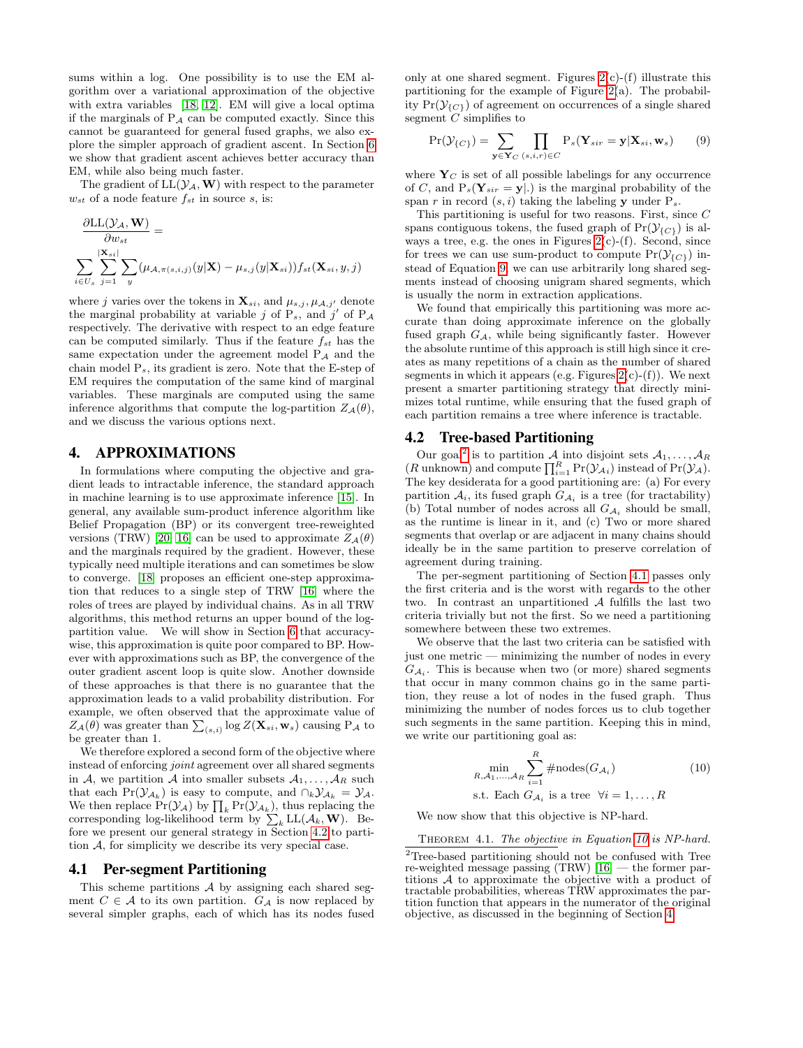sums within a log. One possibility is to use the EM algorithm over a variational approximation of the objective with extra variables [\[18,](#page-9-16) [12\]](#page-9-15). EM will give a local optima if the marginals of  $P_A$  can be computed exactly. Since this cannot be guaranteed for general fused graphs, we also explore the simpler approach of gradient ascent. In Section [6](#page-6-0) we show that gradient ascent achieves better accuracy than EM, while also being much faster.

The gradient of  $LL(\mathcal{Y}_A, \mathbf{W})$  with respect to the parameter  $w_{st}$  of a node feature  $f_{st}$  in source s, is:

$$
\frac{\partial LL(\mathcal{Y}_\mathcal{A}, \mathbf{W})}{\partial w_{st}} = \frac{\sum_{\substack{\mathbf{X}_{si} \mid \\ \mathbf{X}_{si} \in U_s}} \sum_{j=1}^{|\mathbf{X}_{si}|} \sum_{y} (\mu_{\mathcal{A}, \pi(s, i, j)}(y|\mathbf{X}) - \mu_{s, j}(y|\mathbf{X}_{si})) f_{st}(\mathbf{X}_{si}, y, j)
$$

where j varies over the tokens in  $\mathbf{X}_{si}$ , and  $\mu_{s,j}, \mu_{A,j'}$  denote the marginal probability at variable j of  $P_s$ , and j' of  $P_A$ respectively. The derivative with respect to an edge feature can be computed similarly. Thus if the feature  $f_{st}$  has the same expectation under the agreement model  $P_A$  and the chain model  $P_s$ , its gradient is zero. Note that the E-step of EM requires the computation of the same kind of marginal variables. These marginals are computed using the same inference algorithms that compute the log-partition  $Z_{\mathcal{A}}(\theta)$ , and we discuss the various options next.

#### <span id="page-4-0"></span>4. APPROXIMATIONS

In formulations where computing the objective and gradient leads to intractable inference, the standard approach in machine learning is to use approximate inference [\[15\]](#page-9-4). In general, any available sum-product inference algorithm like Belief Propagation (BP) or its convergent tree-reweighted versions (TRW) [\[20,](#page-9-20) [16\]](#page-9-21) can be used to approximate  $Z_A(\theta)$ and the marginals required by the gradient. However, these typically need multiple iterations and can sometimes be slow to converge. [\[18\]](#page-9-16) proposes an efficient one-step approximation that reduces to a single step of TRW [\[16\]](#page-9-21) where the roles of trees are played by individual chains. As in all TRW algorithms, this method returns an upper bound of the logpartition value. We will show in Section [6](#page-6-0) that accuracywise, this approximation is quite poor compared to BP. However with approximations such as BP, the convergence of the outer gradient ascent loop is quite slow. Another downside of these approaches is that there is no guarantee that the approximation leads to a valid probability distribution. For example, we often observed that the approximate value of  $Z_{\mathcal{A}}(\theta)$  was greater than  $\sum_{(s,i)} \log Z(\mathbf{X}_{si}, \mathbf{w}_s)$  causing  $P_{\mathcal{A}}$  to be greater than 1.

We therefore explored a second form of the objective where instead of enforcing joint agreement over all shared segments in A, we partition A into smaller subsets  $A_1, \ldots, A_R$  such that each  $Pr(\mathcal{Y}_{A_k})$  is easy to compute, and  $\cap_k \mathcal{Y}_{A_k} = \mathcal{Y}_{A_k}$ . We then replace  $Pr(\mathcal{Y}_\mathcal{A})$  by  $\prod_k Pr(\mathcal{Y}_{\mathcal{A}_k})$ , thus replacing the corresponding log-likelihood term by  $\sum_{k}$  LL( $A_k$ , W). Before we present our general strategy in Section [4.2](#page-4-2) to partition A, for simplicity we describe its very special case.

#### <span id="page-4-1"></span>4.1 Per-segment Partitioning

This scheme partitions  $A$  by assigning each shared segment  $C \in \mathcal{A}$  to its own partition.  $G_{\mathcal{A}}$  is now replaced by several simpler graphs, each of which has its nodes fused only at one shared segment. Figures  $2(c)-(f)$  illustrate this partitioning for the example of Figure  $2(a)$ . The probability  $Pr(\mathcal{Y}_{\{C\}})$  of agreement on occurrences of a single shared segment  $\overline{C}$  simplifies to

<span id="page-4-3"></span>
$$
\Pr(\mathcal{Y}_{\{C\}}) = \sum_{\mathbf{y} \in \mathbf{Y}_C} \prod_{(s,i,r) \in C} P_s(\mathbf{Y}_{sir} = \mathbf{y} | \mathbf{X}_{si}, \mathbf{w}_s)
$$
(9)

where  $Y_C$  is set of all possible labelings for any occurrence of C, and  $P_s(Y_{sir} = y|.)$  is the marginal probability of the span r in record  $(s, i)$  taking the labeling y under  $P_s$ .

This partitioning is useful for two reasons. First, since C spans contiguous tokens, the fused graph of  $Pr(\mathcal{Y}_{\{C\}})$  is always a tree, e.g. the ones in Figures  $2(c)-(f)$ . Second, since for trees we can use sum-product to compute  $Pr(\mathcal{Y}_{\{C\}})$  instead of Equation [9,](#page-4-3) we can use arbitrarily long shared segments instead of choosing unigram shared segments, which is usually the norm in extraction applications.

We found that empirically this partitioning was more accurate than doing approximate inference on the globally fused graph  $G_A$ , while being significantly faster. However the absolute runtime of this approach is still high since it creates as many repetitions of a chain as the number of shared segments in which it appears (e.g. Figures  $2(c)-(f)$ ). We next present a smarter partitioning strategy that directly minimizes total runtime, while ensuring that the fused graph of each partition remains a tree where inference is tractable.

## <span id="page-4-2"></span>4.2 Tree-based Partitioning

Our goal<sup>[2](#page-4-4)</sup> is to partition  $\mathcal{A}$  into disjoint sets  $\mathcal{A}_1, \ldots, \mathcal{A}_R$  $(R \text{ unknown})$  and compute  $\prod_{i=1}^{R} \Pr(\mathcal{Y}_{\mathcal{A}}_i)$  instead of  $\Pr(\mathcal{Y}_{\mathcal{A}})$ . The key desiderata for a good partitioning are: (a) For every partition  $A_i$ , its fused graph  $G_{A_i}$  is a tree (for tractability) (b) Total number of nodes across all  $G_{\mathcal{A}_i}$  should be small, as the runtime is linear in it, and (c) Two or more shared segments that overlap or are adjacent in many chains should ideally be in the same partition to preserve correlation of agreement during training.

The per-segment partitioning of Section [4.1](#page-4-1) passes only the first criteria and is the worst with regards to the other two. In contrast an unpartitioned A fulfills the last two criteria trivially but not the first. So we need a partitioning somewhere between these two extremes.

We observe that the last two criteria can be satisfied with just one metric — minimizing the number of nodes in every  $G_{A_i}$ . This is because when two (or more) shared segments that occur in many common chains go in the same partition, they reuse a lot of nodes in the fused graph. Thus minimizing the number of nodes forces us to club together such segments in the same partition. Keeping this in mind, we write our partitioning goal as:

<span id="page-4-5"></span>
$$
\min_{R, A_1, \dots, A_R} \sum_{i=1}^R \# \text{nodes}(G_{A_i})
$$
\n
$$
\text{s.t.} \text{ Each } G_{A_i} \text{ is a tree } \forall i = 1, \dots, R
$$
\n
$$
(10)
$$

We now show that this objective is NP-hard.

THEOREM 4.1. The objective in Equation [10](#page-4-5) is NP-hard.

<span id="page-4-4"></span> $\rm{^2Tree\mbox{-}based$  partitioning should not be confused with Tree re-weighted message passing (TRW) [\[16\]](#page-9-21) — the former partitions A to approximate the objective with a product of tractable probabilities, whereas TRW approximates the partition function that appears in the numerator of the original objective, as discussed in the beginning of Section [4.](#page-4-0)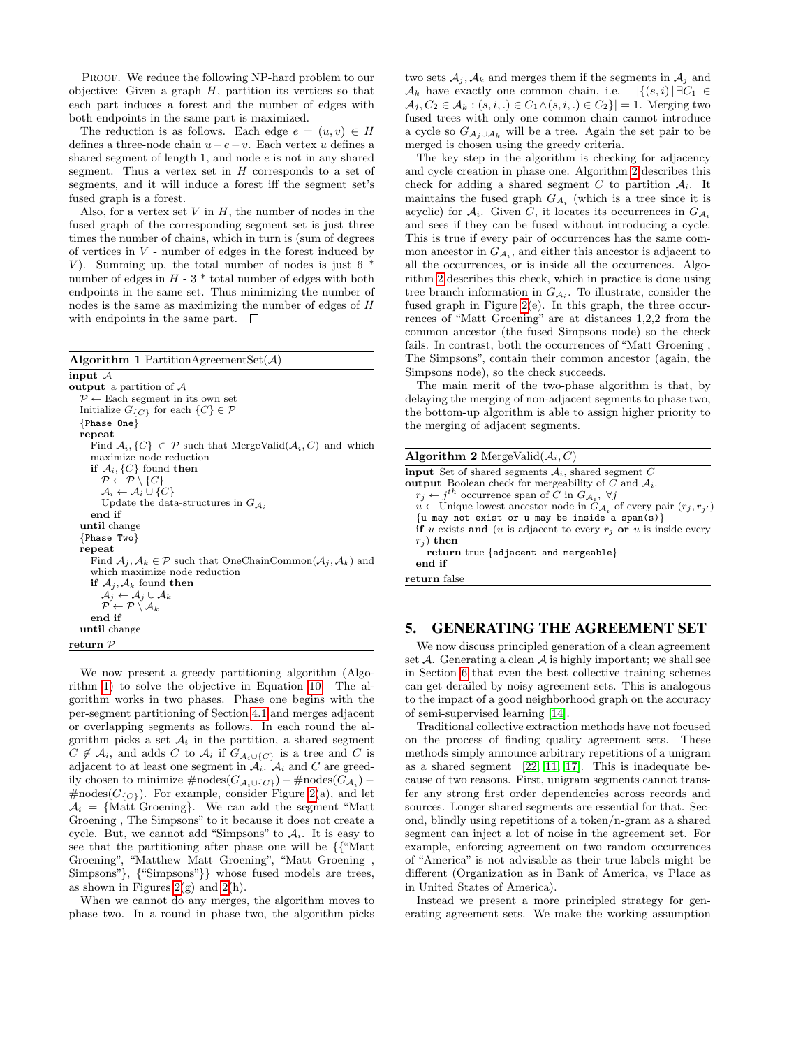PROOF. We reduce the following NP-hard problem to our objective: Given a graph  $H$ , partition its vertices so that each part induces a forest and the number of edges with both endpoints in the same part is maximized.

The reduction is as follows. Each edge  $e = (u, v) \in H$ defines a three-node chain  $u-e-v$ . Each vertex u defines a shared segment of length 1, and node e is not in any shared segment. Thus a vertex set in  $H$  corresponds to a set of segments, and it will induce a forest iff the segment set's fused graph is a forest.

Also, for a vertex set  $V$  in  $H$ , the number of nodes in the fused graph of the corresponding segment set is just three times the number of chains, which in turn is (sum of degrees of vertices in  $V$  - number of edges in the forest induced by V). Summing up, the total number of nodes is just  $6$ number of edges in  $H - 3$  \* total number of edges with both endpoints in the same set. Thus minimizing the number of nodes is the same as maximizing the number of edges of H with endpoints in the same part.  $\square$ 

<span id="page-5-1"></span>Algorithm 1 PartitionAgreementSet $(A)$  $\overline{\text{input } A}$ output a partition of  $A$  $\mathcal{P} \leftarrow$  Each segment in its own set Initialize  $G_{\{C\}}$  for each  $\{C\} \in \mathcal{P}$ {Phase One} repeat Find  $A_i$ ,  $\{C\} \in \mathcal{P}$  such that MergeValid $(A_i, C)$  and which maximize node reduction if  $\mathcal{A}_i$ ,  $\{C\}$  found then  $\mathcal{P} \leftarrow \mathcal{P} \setminus \{C\}$  $\mathcal{A}_i \leftarrow \mathcal{A}_i \cup \{C\}$ Update the data-structures in  $G_{\mathcal{A}_i}$ end if until change {Phase Two} repeat Find  $A_j, A_k \in \mathcal{P}$  such that OneChainCommon $(A_j, A_k)$  and which maximize node reduction if  $\mathcal{A}_j, \mathcal{A}_k$  found then  $\mathcal{A}_j \leftarrow \mathcal{A}_j \cup \mathcal{A}_k$  $\mathcal{P} \leftarrow \mathcal{P} \setminus \mathcal{A}_k$ end if until change return P

We now present a greedy partitioning algorithm (Algorithm [1\)](#page-5-1) to solve the objective in Equation [10.](#page-4-5) The algorithm works in two phases. Phase one begins with the per-segment partitioning of Section [4.1](#page-4-1) and merges adjacent or overlapping segments as follows. In each round the algorithm picks a set  $A_i$  in the partition, a shared segment  $C \notin \mathcal{A}_i$ , and adds C to  $\mathcal{A}_i$  if  $G_{\mathcal{A}_i \cup \{C\}}$  is a tree and C is adjacent to at least one segment in  $A_i$ .  $A_i$  and C are greedily chosen to minimize  $\#\text{nodes}(G_{\mathcal{A}_i \cup \{C\}}) - \#\text{nodes}(G_{\mathcal{A}_i}) \text{\#nodes}(G_{\{C\}})$ . For example, consider Figure [2\(](#page-3-0)a), and let  $A_i = \{$ Matt Groening}. We can add the segment "Matt" Groening , The Simpsons" to it because it does not create a cycle. But, we cannot add "Simpsons" to  $A_i$ . It is easy to see that the partitioning after phase one will be {{"Matt Groening", "Matthew Matt Groening", "Matt Groening , Simpsons"}, {"Simpsons"}} whose fused models are trees, as shown in Figures  $2(g)$  and  $2(h)$ .

When we cannot do any merges, the algorithm moves to phase two. In a round in phase two, the algorithm picks two sets  $A_j$ ,  $A_k$  and merges them if the segments in  $A_j$  and  $\mathcal{A}_k$  have exactly one common chain, i.e.  $|\{(s, i) | \exists C_1 \in$  $\mathcal{A}_i, C_2 \in \mathcal{A}_k : (s, i, .) \in C_1 \wedge (s, i, .) \in C_2\} = 1.$  Merging two fused trees with only one common chain cannot introduce a cycle so  $G_{\mathcal{A}_i \cup \mathcal{A}_k}$  will be a tree. Again the set pair to be merged is chosen using the greedy criteria.

The key step in the algorithm is checking for adjacency and cycle creation in phase one. Algorithm [2](#page-5-2) describes this check for adding a shared segment C to partition  $A_i$ . It maintains the fused graph  $G_{\mathcal{A}_i}$  (which is a tree since it is acyclic) for  $A_i$ . Given C, it locates its occurrences in  $G_{A_i}$ and sees if they can be fused without introducing a cycle. This is true if every pair of occurrences has the same common ancestor in  $G_{A_i}$ , and either this ancestor is adjacent to all the occurrences, or is inside all the occurrences. Algorithm [2](#page-5-2) describes this check, which in practice is done using tree branch information in  $G_{A_i}$ . To illustrate, consider the fused graph in Figure [2\(](#page-3-0)e). In this graph, the three occurrences of "Matt Groening" are at distances 1,2,2 from the common ancestor (the fused Simpsons node) so the check fails. In contrast, both the occurrences of "Matt Groening , The Simpsons", contain their common ancestor (again, the Simpsons node), so the check succeeds.

The main merit of the two-phase algorithm is that, by delaying the merging of non-adjacent segments to phase two, the bottom-up algorithm is able to assign higher priority to the merging of adjacent segments.

<span id="page-5-2"></span>

| <b>Algorithm 2</b> MergeValid $(\mathcal{A}_i, C)$                                              |
|-------------------------------------------------------------------------------------------------|
| <b>input</b> Set of shared segments $A_i$ , shared segment C                                    |
| <b>output</b> Boolean check for mergeability of C and $A_i$ .                                   |
| $r_i \leftarrow j^{th}$ occurrence span of C in $G_A$ , $\forall j$                             |
| $u \leftarrow$ Unique lowest ancestor node in $G_{\mathcal{A}_i}$ of every pair $(r_j, r_{j'})$ |
| $\{u \text{ may not exist or } u \text{ may be inside a span(s)}\}$                             |
| if u exists and (u is adjacent to every $r_i$ or u is inside every                              |
| $r_i$ ) then                                                                                    |
| return true {adjacent and mergeable}                                                            |
| end if                                                                                          |
| return false                                                                                    |

## <span id="page-5-0"></span>5. GENERATING THE AGREEMENT SET

We now discuss principled generation of a clean agreement set  $A$ . Generating a clean  $A$  is highly important; we shall see in Section [6](#page-6-0) that even the best collective training schemes can get derailed by noisy agreement sets. This is analogous to the impact of a good neighborhood graph on the accuracy of semi-supervised learning [\[14\]](#page-9-22).

Traditional collective extraction methods have not focused on the process of finding quality agreement sets. These methods simply announce arbitrary repetitions of a unigram as a shared segment [\[22,](#page-9-5) [11,](#page-9-8) [17\]](#page-9-7). This is inadequate because of two reasons. First, unigram segments cannot transfer any strong first order dependencies across records and sources. Longer shared segments are essential for that. Second, blindly using repetitions of a token/n-gram as a shared segment can inject a lot of noise in the agreement set. For example, enforcing agreement on two random occurrences of "America" is not advisable as their true labels might be different (Organization as in Bank of America, vs Place as in United States of America).

Instead we present a more principled strategy for generating agreement sets. We make the working assumption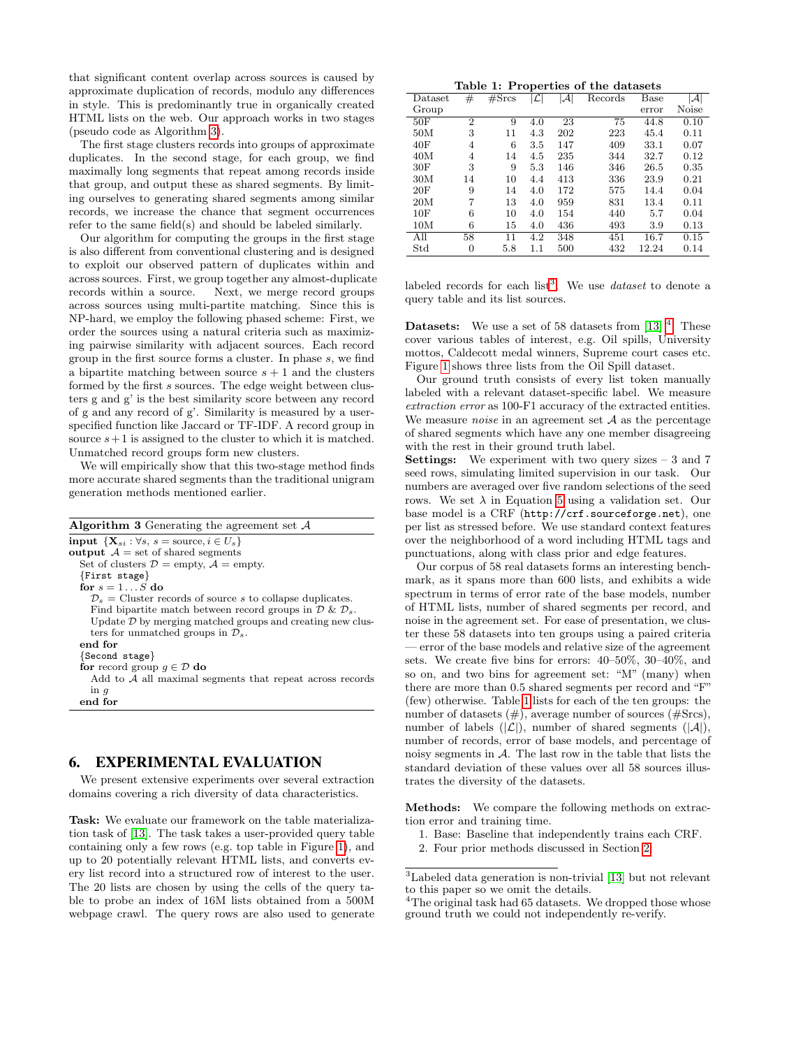that significant content overlap across sources is caused by approximate duplication of records, modulo any differences in style. This is predominantly true in organically created HTML lists on the web. Our approach works in two stages (pseudo code as Algorithm [3\)](#page-6-1).

The first stage clusters records into groups of approximate duplicates. In the second stage, for each group, we find maximally long segments that repeat among records inside that group, and output these as shared segments. By limiting ourselves to generating shared segments among similar records, we increase the chance that segment occurrences refer to the same field(s) and should be labeled similarly.

Our algorithm for computing the groups in the first stage is also different from conventional clustering and is designed to exploit our observed pattern of duplicates within and across sources. First, we group together any almost-duplicate records within a source. Next, we merge record groups across sources using multi-partite matching. Since this is NP-hard, we employ the following phased scheme: First, we order the sources using a natural criteria such as maximizing pairwise similarity with adjacent sources. Each record group in the first source forms a cluster. In phase s, we find a bipartite matching between source  $s + 1$  and the clusters formed by the first s sources. The edge weight between clusters g and g' is the best similarity score between any record of g and any record of g'. Similarity is measured by a userspecified function like Jaccard or TF-IDF. A record group in source  $s+1$  is assigned to the cluster to which it is matched. Unmatched record groups form new clusters.

We will empirically show that this two-stage method finds more accurate shared segments than the traditional unigram generation methods mentioned earlier.

<span id="page-6-1"></span>

| <b>Algorithm 3</b> Generating the agreement set $\mathcal{A}$                  |
|--------------------------------------------------------------------------------|
| input $\{X_{si} : \forall s, s = \text{source}, i \in U_s\}$                   |
| output $\mathcal{A}$ = set of shared segments                                  |
| Set of clusters $\mathcal{D} =$ empty, $\mathcal{A} =$ empty.                  |
| $\{First stage\}$                                                              |
| for $s = 1S$ do                                                                |
| $\mathcal{D}_s$ = Cluster records of source s to collapse duplicates.          |
| Find bipartite match between record groups in $\mathcal{D} \& \mathcal{D}_s$ . |
| Update $\mathcal D$ by merging matched groups and creating new clus-           |
| ters for unmatched groups in $\mathcal{D}_s$ .                                 |
| end for                                                                        |
| $\{Second\ stage\}$                                                            |
| for record group $q \in \mathcal{D}$ do                                        |
| Add to $A$ all maximal segments that repeat across records                     |
| in $q$                                                                         |
| end for                                                                        |
|                                                                                |

# <span id="page-6-0"></span>6. EXPERIMENTAL EVALUATION

We present extensive experiments over several extraction domains covering a rich diversity of data characteristics.

Task: We evaluate our framework on the table materialization task of [\[13\]](#page-9-0). The task takes a user-provided query table containing only a few rows (e.g. top table in Figure [1\)](#page-1-0), and up to 20 potentially relevant HTML lists, and converts every list record into a structured row of interest to the user. The 20 lists are chosen by using the cells of the query table to probe an index of 16M lists obtained from a 500M webpage crawl. The query rows are also used to generate

<span id="page-6-4"></span>

| Table 1: Properties of the datasets |
|-------------------------------------|
|-------------------------------------|

| $\text{Dataset}$ | $^{\#}$        | $\sqrt{\text{Srcs}}$ | L       | $ \mathcal{A} $ | Records | Base  | ${\cal A}$ |
|------------------|----------------|----------------------|---------|-----------------|---------|-------|------------|
| Group            |                |                      |         |                 |         | error | Noise      |
| 50F              | $\overline{2}$ | 9                    | 4.0     | 23              | 75      | 44.8  | 0.10       |
| 50M              | 3              | 11                   | 4.3     | 202             | 223     | 45.4  | 0.11       |
| 40F              | 4              | 6                    | 3.5     | 147             | 409     | 33.1  | 0.07       |
| 40M              | 4              | 14                   | 4.5     | 235             | 344     | 32.7  | 0.12       |
| 30F              | 3              | 9                    | 5.3     | 146             | 346     | 26.5  | 0.35       |
| 30M              | 14             | 10                   | 4.4     | 413             | 336     | 23.9  | 0.21       |
| 20F              | 9              | 14                   | 4.0     | 172             | 575     | 14.4  | 0.04       |
| 20M              | 7              | 13                   | 4.0     | 959             | 831     | 13.4  | 0.11       |
| 10F              | 6              | 10                   | 4.0     | 154             | 440     | 5.7   | 0.04       |
| 10M              | 6              | 15                   | 4.0     | 436             | 493     | 3.9   | 0.13       |
| All              | 58             | 11                   | 4.2     | 348             | 451     | 16.7  | 0.15       |
| Std              | 0              | 5.8                  | $1.1\,$ | 500             | 432     | 12.24 | 0.14       |

labeled records for each list<sup>[3](#page-6-2)</sup>. We use *dataset* to denote a query table and its list sources.

**Datasets:** We use a set of 58 datasets from  $\left[13\right]$ <sup>[4](#page-6-3)</sup>. These cover various tables of interest, e.g. Oil spills, University mottos, Caldecott medal winners, Supreme court cases etc. Figure [1](#page-1-0) shows three lists from the Oil Spill dataset.

Our ground truth consists of every list token manually labeled with a relevant dataset-specific label. We measure extraction error as 100-F1 accuracy of the extracted entities. We measure *noise* in an agreement set  $A$  as the percentage of shared segments which have any one member disagreeing with the rest in their ground truth label.

**Settings:** We experiment with two query sizes  $-3$  and 7 seed rows, simulating limited supervision in our task. Our numbers are averaged over five random selections of the seed rows. We set  $\lambda$  in Equation [5](#page-2-4) using a validation set. Our base model is a CRF (http://crf.sourceforge.net), one per list as stressed before. We use standard context features over the neighborhood of a word including HTML tags and punctuations, along with class prior and edge features.

Our corpus of 58 real datasets forms an interesting benchmark, as it spans more than 600 lists, and exhibits a wide spectrum in terms of error rate of the base models, number of HTML lists, number of shared segments per record, and noise in the agreement set. For ease of presentation, we cluster these 58 datasets into ten groups using a paired criteria — error of the base models and relative size of the agreement sets. We create five bins for errors: 40–50%, 30–40%, and so on, and two bins for agreement set: "M" (many) when there are more than 0.5 shared segments per record and "F" (few) otherwise. Table [1](#page-6-4) lists for each of the ten groups: the number of datasets  $(\#)$ , average number of sources  $(\#Sres)$ , number of labels  $(|\mathcal{L}|)$ , number of shared segments  $(|\mathcal{A}|)$ , number of records, error of base models, and percentage of noisy segments in  $A$ . The last row in the table that lists the standard deviation of these values over all 58 sources illustrates the diversity of the datasets.

Methods: We compare the following methods on extraction error and training time.

- 1. Base: Baseline that independently trains each CRF.
- 2. Four prior methods discussed in Section [2:](#page-1-1)

<span id="page-6-2"></span><sup>3</sup>Labeled data generation is non-trivial [\[13\]](#page-9-0) but not relevant to this paper so we omit the details.

<span id="page-6-3"></span><sup>&</sup>lt;sup>4</sup>The original task had 65 datasets. We dropped those whose ground truth we could not independently re-verify.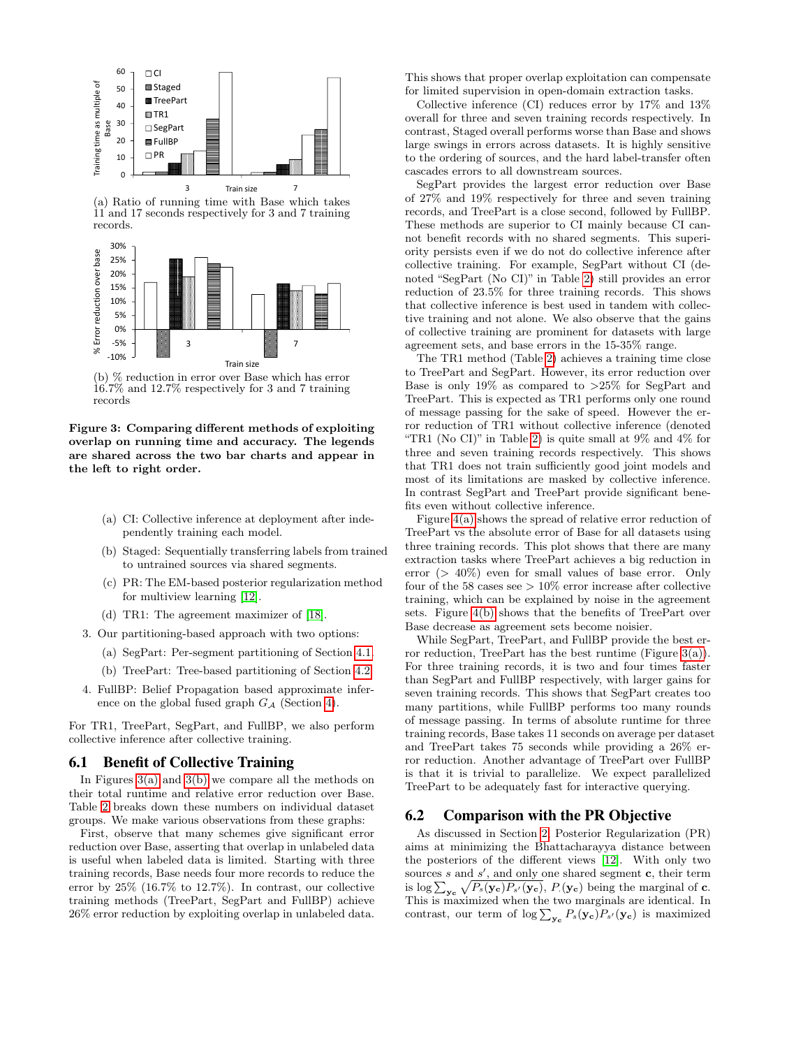<span id="page-7-1"></span>

(a) Ratio of running time with Base which takes  $11$  and 17 seconds respectively for 3 and 7 training records.



<span id="page-7-2"></span>(b) % reduction in error over Base which has error 16.7% and 12.7% respectively for 3 and 7 training records

Figure 3: Comparing different methods of exploiting overlap on running time and accuracy. The legends are shared across the two bar charts and appear in the left to right order.

- (a) CI: Collective inference at deployment after independently training each model.
- (b) Staged: Sequentially transferring labels from trained to untrained sources via shared segments.
- (c) PR: The EM-based posterior regularization method for multiview learning [\[12\]](#page-9-15).
- (d) TR1: The agreement maximizer of [\[18\]](#page-9-16).
- 3. Our partitioning-based approach with two options:
	- (a) SegPart: Per-segment partitioning of Section [4.1.](#page-4-1)
	- (b) TreePart: Tree-based partitioning of Section [4.2.](#page-4-2)
- 4. FullBP: Belief Propagation based approximate inference on the global fused graph  $G_A$  (Section [4\)](#page-4-0).

For TR1, TreePart, SegPart, and FullBP, we also perform collective inference after collective training.

### 6.1 Benefit of Collective Training

In Figures [3\(a\)](#page-7-1) and [3\(b\)](#page-7-2) we compare all the methods on their total runtime and relative error reduction over Base. Table [2](#page-8-0) breaks down these numbers on individual dataset groups. We make various observations from these graphs:

First, observe that many schemes give significant error reduction over Base, asserting that overlap in unlabeled data is useful when labeled data is limited. Starting with three training records, Base needs four more records to reduce the error by 25% (16.7% to 12.7%). In contrast, our collective training methods (TreePart, SegPart and FullBP) achieve 26% error reduction by exploiting overlap in unlabeled data. This shows that proper overlap exploitation can compensate for limited supervision in open-domain extraction tasks.

Collective inference (CI) reduces error by 17% and 13% overall for three and seven training records respectively. In contrast, Staged overall performs worse than Base and shows large swings in errors across datasets. It is highly sensitive to the ordering of sources, and the hard label-transfer often cascades errors to all downstream sources.

SegPart provides the largest error reduction over Base of 27% and 19% respectively for three and seven training records, and TreePart is a close second, followed by FullBP. These methods are superior to CI mainly because CI cannot benefit records with no shared segments. This superiority persists even if we do not do collective inference after collective training. For example, SegPart without CI (denoted "SegPart (No CI)" in Table [2\)](#page-8-0) still provides an error reduction of 23.5% for three training records. This shows that collective inference is best used in tandem with collective training and not alone. We also observe that the gains of collective training are prominent for datasets with large agreement sets, and base errors in the 15-35% range.

The TR1 method (Table [2\)](#page-8-0) achieves a training time close to TreePart and SegPart. However, its error reduction over Base is only 19% as compared to  $>25\%$  for SegPart and TreePart. This is expected as TR1 performs only one round of message passing for the sake of speed. However the error reduction of TR1 without collective inference (denoted "TR1 (No CI)" in Table [2\)](#page-8-0) is quite small at 9% and 4% for three and seven training records respectively. This shows that TR1 does not train sufficiently good joint models and most of its limitations are masked by collective inference. In contrast SegPart and TreePart provide significant benefits even without collective inference.

Figure [4\(a\)](#page-8-1) shows the spread of relative error reduction of TreePart vs the absolute error of Base for all datasets using three training records. This plot shows that there are many extraction tasks where TreePart achieves a big reduction in error  $(> 40\%)$  even for small values of base error. Only four of the 58 cases see  $> 10\%$  error increase after collective training, which can be explained by noise in the agreement sets. Figure [4\(b\)](#page-8-2) shows that the benefits of TreePart over Base decrease as agreement sets become noisier.

While SegPart, TreePart, and FullBP provide the best error reduction, TreePart has the best runtime (Figure  $3(a)$ ). For three training records, it is two and four times faster than SegPart and FullBP respectively, with larger gains for seven training records. This shows that SegPart creates too many partitions, while FullBP performs too many rounds of message passing. In terms of absolute runtime for three training records, Base takes 11 seconds on average per dataset and TreePart takes 75 seconds while providing a 26% error reduction. Another advantage of TreePart over FullBP is that it is trivial to parallelize. We expect parallelized TreePart to be adequately fast for interactive querying.

#### <span id="page-7-0"></span>6.2 Comparison with the PR Objective

As discussed in Section [2,](#page-1-1) Posterior Regularization (PR) aims at minimizing the Bhattacharayya distance between the posteriors of the different views [\[12\]](#page-9-15). With only two sources s and  $s'$ , and only one shared segment c, their term is  $\log \sum_{\mathbf{y_c}} \sqrt{P_s(\mathbf{y_c})P_{s'}(\mathbf{y_c})}$ ,  $P(\mathbf{y_c})$  being the marginal of **c**. This is maximized when the two marginals are identical. In contrast, our term of  $\log \sum_{\mathbf{y_c}} P_s(\mathbf{y_c}) P_{s'}(\mathbf{y_c})$  is maximized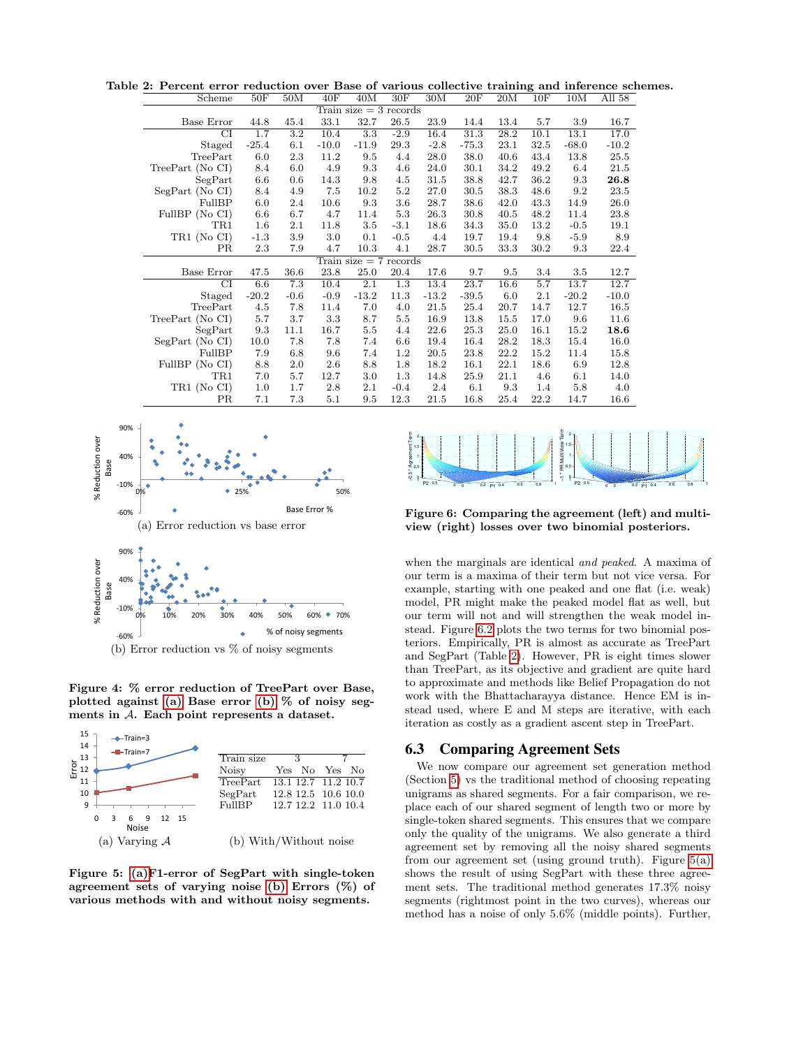Table 2: Percent error reduction over Base of various collective training and inference schemes.

<span id="page-8-0"></span>

| Scheme                   | 50F     | 50M              | 40F     | 40M                      | 30F     | 30M     | 20F     | 20M  | 10F  | 10M     | All 58  |
|--------------------------|---------|------------------|---------|--------------------------|---------|---------|---------|------|------|---------|---------|
| Train size $=$ 3 records |         |                  |         |                          |         |         |         |      |      |         |         |
| Base Error               | 44.8    | 45.4             | 33.1    | 32.7                     | 26.5    | 23.9    | 14.4    | 13.4 | 5.7  | 3.9     | 16.7    |
| $\overline{\rm CI}$      | 1.7     | $\overline{3.2}$ | 10.4    | $\overline{3.3}$         | $-2.9$  | 16.4    | 31.3    | 28.2 | 10.1 | 13.1    | 17.0    |
| Staged                   | $-25.4$ | 6.1              | $-10.0$ | $-11.9$                  | 29.3    | $-2.8$  | $-75.3$ | 23.1 | 32.5 | $-68.0$ | $-10.2$ |
| TreePart                 | 6.0     | 2.3              | 11.2    | 9.5                      | 4.4     | 28.0    | 38.0    | 40.6 | 43.4 | 13.8    | 25.5    |
| TreePart (No CI)         | 8.4     | 6.0              | 4.9     | 9.3                      | 4.6     | 24.0    | 30.1    | 34.2 | 49.2 | 6.4     | 21.5    |
| SegPart                  | 6.6     | 0.6              | 14.3    | 9.8                      | 4.5     | 31.5    | 38.8    | 42.7 | 36.2 | 9.3     | 26.8    |
| SegPart (No CI)          | 8.4     | 4.9              | 7.5     | 10.2                     | $5.2\,$ | 27.0    | 30.5    | 38.3 | 48.6 | 9.2     | 23.5    |
| FullBP                   | 6.0     | 2.4              | 10.6    | 9.3                      | $3.6\,$ | 28.7    | 38.6    | 42.0 | 43.3 | 14.9    | 26.0    |
| FullBP (No CI)           | 6.6     | 6.7              | 4.7     | 11.4                     | 5.3     | 26.3    | 30.8    | 40.5 | 48.2 | 11.4    | 23.8    |
| TR1                      | 1.6     | $2.1\,$          | 11.8    | $3.5\,$                  | $-3.1$  | 18.6    | 34.3    | 35.0 | 13.2 | $-0.5$  | 19.1    |
| TR1 (No CI)              | $-1.3$  | 3.9              | 3.0     | 0.1                      | $-0.5$  | 4.4     | 19.7    | 19.4 | 9.8  | $-5.9$  | 8.9     |
| <b>PR</b>                | 2.3     | 7.9              | 4.7     | 10.3                     | 4.1     | 28.7    | 30.5    | 33.3 | 30.2 | 9.3     | 22.4    |
|                          |         |                  |         | Train size $= 7$ records |         |         |         |      |      |         |         |
| <b>Base Error</b>        | 47.5    | 36.6             | 23.8    | 25.0                     | 20.4    | 17.6    | 9.7     | 9.5  | 3.4  | $3.5\,$ | 12.7    |
| CI                       | 6.6     | 7.3              | 10.4    | 2.1                      | 1.3     | 13.4    | 23.7    | 16.6 | 5.7  | 13.7    | 12.7    |
| Staged                   | $-20.2$ | $-0.6$           | $-0.9$  | $-13.2$                  | 11.3    | $-13.2$ | $-39.5$ | 6.0  | 2.1  | $-20.2$ | $-10.0$ |
| TreePart                 | 4.5     | 7.8              | 11.4    | 7.0                      | 4.0     | 21.5    | 25.4    | 20.7 | 14.7 | 12.7    | 16.5    |
| TreePart (No CI)         | 5.7     | 3.7              | 3.3     | 8.7                      | 5.5     | 16.9    | 13.8    | 15.5 | 17.0 | 9.6     | 11.6    |
| SegPart                  | 9.3     | 11.1             | 16.7    | 5.5                      | 4.4     | 22.6    | 25.3    | 25.0 | 16.1 | 15.2    | 18.6    |
| SegPart (No CI)          | 10.0    | 7.8              | 7.8     | 7.4                      | 6.6     | 19.4    | 16.4    | 28.2 | 18.3 | 15.4    | 16.0    |
| FullBP                   | 7.9     | 6.8              | 9.6     | 7.4                      | $1.2\,$ | 20.5    | 23.8    | 22.2 | 15.2 | 11.4    | 15.8    |
| FullBP (No CI)           | 8.8     | $2.0\,$          | 2.6     | 8.8                      | 1.8     | 18.2    | 16.1    | 22.1 | 18.6 | 6.9     | 12.8    |
| TR1                      | 7.0     | 5.7              | 12.7    | 3.0                      | 1.3     | 14.8    | 25.9    | 21.1 | 4.6  | 6.1     | 14.0    |
| TR1 (No CI)              | 1.0     | 1.7              | 2.8     | 2.1                      | $-0.4$  | 2.4     | 6.1     | 9.3  | 1.4  | 5.8     | 4.0     |
| PR                       | 7.1     | 7.3              | $5.1\,$ | 9.5                      | 12.3    | 21.5    | 16.8    | 25.4 | 22.2 | 14.7    | 16.6    |

<span id="page-8-1"></span>

<span id="page-8-2"></span>Figure 4: % error reduction of TreePart over Base, plotted against [\(a\)](#page-8-1) Base error [\(b\)](#page-8-2) % of noisy seg-

ments in A. Each point represents a dataset.

<span id="page-8-3"></span>

<span id="page-8-4"></span>Figure 5: [\(a\)F](#page-8-3)1-error of SegPart with single-token agreement sets of varying noise [\(b\)](#page-8-4) Errors  $(\%)$  of various methods with and without noisy segments.



Figure 6: Comparing the agreement (left) and multiview (right) losses over two binomial posteriors.

when the marginals are identical and peaked. A maxima of our term is a maxima of their term but not vice versa. For example, starting with one peaked and one flat (i.e. weak) model, PR might make the peaked model flat as well, but our term will not and will strengthen the weak model instead. Figure [6.2](#page-7-0) plots the two terms for two binomial posteriors. Empirically, PR is almost as accurate as TreePart and SegPart (Table [2\)](#page-8-0). However, PR is eight times slower than TreePart, as its objective and gradient are quite hard to approximate and methods like Belief Propagation do not work with the Bhattacharayya distance. Hence EM is instead used, where E and M steps are iterative, with each iteration as costly as a gradient ascent step in TreePart.

#### 6.3 Comparing Agreement Sets

We now compare our agreement set generation method (Section [5\)](#page-5-0) vs the traditional method of choosing repeating unigrams as shared segments. For a fair comparison, we replace each of our shared segment of length two or more by single-token shared segments. This ensures that we compare only the quality of the unigrams. We also generate a third agreement set by removing all the noisy shared segments from our agreement set (using ground truth). Figure [5\(a\)](#page-8-3) shows the result of using SegPart with these three agreement sets. The traditional method generates 17.3% noisy segments (rightmost point in the two curves), whereas our method has a noise of only 5.6% (middle points). Further,